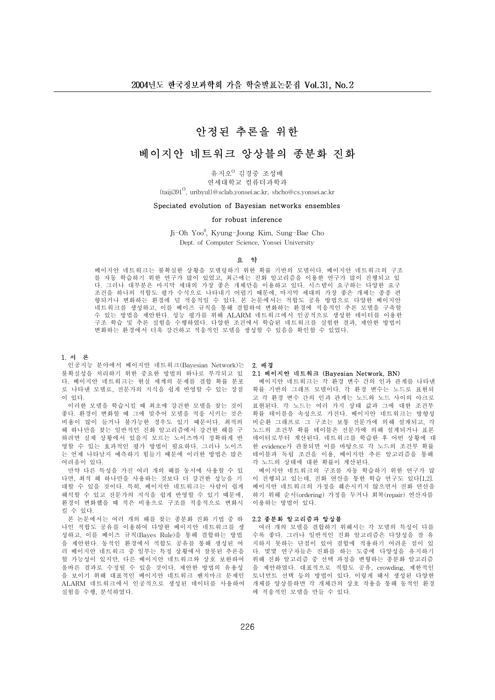# 안정된 추론을 위한

# 베이지아 네트워크 앙상블의 종부화 진화

유지오<sup>0</sup> 김경중 조성배 연세대학교 컴퓨터과학과

{taiji391<sup>0</sup>, uribyul}@sclab.yonsei.ac.kr, sbcho@cs.yonsei.ac.kr

## Speciated evolution of Bayesian networks ensembles

### for robust inference

Ji-Oh Yoo<sup>0</sup>, Kyung-Joong Kim, Sung-Bae Cho Dept. of Computer Science. Yonsei University

#### 요 약

베이지안 네트워크는 불확실한 상황을 모델링하기 위한 확률 기반의 모델이다. 베이지안 네트워크의 구조 를 자동 학습하기 위한 연구가 많이 있었고, 최근에는 진화 알고리즘을 이용한 연구가 많이 진행되고 있 다. 그러나 대부분은 마지막 세대의 가장 좋은 개체만을 이용하고 있다. 시스템이 요구하는 다양한 요구 조건을 하나의 적합도 평가 수식으로 나타내기 어렵기 때문에, 마지막 세대의 가장 좋은 개체는 종종 편 향되거나 변화하는 환경에 덜 적응적일 수 있다. 본 논문에서는 적합도 공유 방법으로 다양한 베이지안 네트워크를 생성하고, 이를 베이즈 규칙을 통해 결합하여 변화하는 환경에 적응적인 추론 모델을 구축할 수 있는 방법을 제안한다. 성능 평가를 위해 ALARM 네트워크에서 인공적으로 생성한 데이터를 이용한 孙癝 荆炢 槼 箁晍 烑菅由 瀅荶荅班惑 惑獾草 癝婡玽漉 荆炢戉 弑肥璹繙杩 烑菅草 媝嫩 瘉猵草 樖檂畡 변화하는 환경에서 더욱 강건하고 적응적인 모델을 생성할 수 있음을 확인할 수 있었다.

#### 1. 서 론

인공지능 분야에서 베이지안 네트워크(Bayesian Network)는 **2. 배경** 불확실성을 처리하기 위한 중요한 방법의 하나로 부각되고 있 다. 베이지안 네트워크는 현실 세계의 문제를 결합 확률 분포 로 나타낸 모델로, 전문가의 지식을 쉽게 반영할 수 있는 장점 이 인다

이러한 모델을 학습시킬 때 최초에 강건한 모델을 찾는 것이 좋다. 환경이 변화할 때 그에 맞추어 모델을 적응 시키는 것은 비용이 많이 들거나 불가능한 경우도 있기 때문이다. 최적의 해 하나만을 찾는 일반적인 진화 알고리즘에서 강건한 해를 구 하려면 실제 상황에서 있을지 모르는 노이즈까지 정확하게 반 영할 수 있는 효과적인 평가 방법이 필요하다. 그러나 노이즈 는 언제 나타날지 예측하기 힘들기 때문에 이러한 방법은 많은 허려운이 인다

만약 다른 특성을 가진 여러 개의 해를 동시에 사용할 수 있 다면, 최적 해 하나만을 사용하는 것보다 더 강건한 성능을 기 대할 수 있을 것이다. 특히, 베이지안 네트워크는 사람이 쉽게 해석할 수 있고 전문가의 지식을 쉽게 반영할 수 있기 때문에, 환경이 변화했을 때 적은 비용으로 구조를 적응적으로 변화시 킬 수 있다.

본 논문에서는 여러 개의 해를 찾는 종분화 진화 기법 중 하 나인 적합도 공유를 이용하여 다양한 베이지안 네트워크를 생 성하고, 이를 베이즈 규칙(Bayes Rule)을 통해 결합하는 방법 을 제안한다. 동적인 환경에서 적합도 공유를 통해 생성된 여 러 베이지안 네트워크 중 일부는 특정 상황에서 잘못된 추론을 할 가능성이 있지만, 다른 베이지안 네트워크와 상호 보완하여 올바른 결과로 수정될 수 있을 것이다. 제안한 방법의 유용성 을 보이기 위해 대표적인 베이지안 네트워크 벤치마크 문제인 ALARM 네트워크에서 인공적으로 생성된 데이터를 사용하여 실험을 수행, 분석하였다.

#### 2.1 베이지안 네트워크 (Bayesian Network, BN)

베이지안 네트워크는 각 환경 변수 간의 인과 관계를 나타낸 확률 기반의 그래프 모델이다. 각 환경 변수는 노드로 표현되 고 각 환경 변수 간의 인과 관계는 노드와 노드 사이의 아크로 표현된다. 각 노드는 여러 가지 상태 값과 그에 대한 조건부 확률 테이블을 속성으로 가진다. 베이지안 네트워크는 방향성 비순환 그래프로 그 구조는 보통 전문가에 의해 설계되고, 각 노드의 조건부 확률 테이블은 전문가에 의해 설계되거나 표본 데이터로부터 계산된다. 네트워크를 학습한 후 어떤 상황에 대 한 evidence가 관찰되면 이를 바탕으로 각 노드의 조건부 확률 테이블과 독립 조건을 이용, 베이지안 추론 알고리즘을 통해 각 노드의 상태에 대한 확률이 계산된다.

베이지안 네트워크의 구조를 자동 학습하기 위한 연구가 많 이 진행되고 있는데, 진화 연산을 통한 학습 연구도 있다[1.2]. 베이지안 네트워크의 가정을 훼손시키지 않으면서 진화 연산을 하기 위해 순서(ordering) 가정을 두거나 회복(repair) 연산자를 이용하는 방법이 있다.

# 2.2 종분화 알고리즘과 앙상블

여러 개의 모델을 결합하기 위해서는 각 모델의 특성이 다를 .<br>수록 좋다. 그러나 일반적인 진화 알고리즘은 다양성을 잘 유 지하지 못하는 단점이 있어 결합에 적용하기 어려운 점이 있 다. 몇몇 연구자들은 진화를 하는 도중에 다양성을 유지하기 위해 진화 알고리즘 중 선택 과정을 변형하는 종분화 알고리즘 을 제안하였다. 대표적으로 적합도 공유, crowding, 제한적인 토너먼트 선택 등의 방법이 있다. 이렇게 해서 생성된 다양한 개체를 앙상블하면 각 개체간의 상호 작용을 통해 동적인 환경 에 적응적인 모델을 만들 수 있다.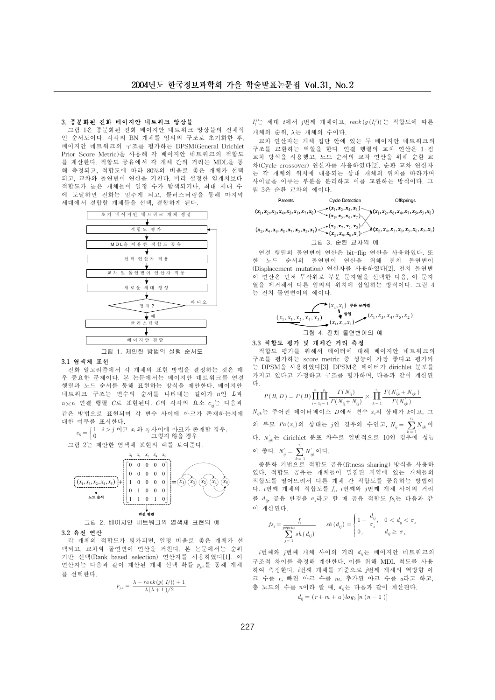# 3. 종분화된 진화 베이지안 네트워크 앙상블

그림 1은 종분화된 진화 베이지안 네트워크 앙상블의 전체적 인 순서도이다. 각각의 BN 개체를 임의의 구조로 초기화한 후, 베이지안 네트워크의 구조를 평가하는 DPSM(General Drichlet Prior Score Metric)을 사용해 각 베이지안 네트워크의 적합도 를 계산한다. 적합도 공유에서 각 개체 간의 거리는 MDL을 통 해 측정되고, 적합도에 따라 80%의 비율로 좋은 개체가 선택 되고, 교차와 돌연변이 연산을 거친다. 미리 설정한 임계치보다 적합도가 높은 개체들이 일정 수가 탐색되거나, 최대 세대 수 에 도달하면 진화는 멈추게 되고, 클러스터링을 통해 마지막 세대에서 결합할 개체들을 선택, 결합하게 된다.



#### 3.1 역색체 표현

진화 알고리즘에서 각 개체의 표현 방법을 결정하는 것은 매 우 중요한 문제이다. 본 논문에서는 베이지안 네트워크를 연결 행렬과 노드 순서를 통해 표현하는 방식을 제안한다. 베이지안 네트워크 구조는 변수의 순서를 나타내는 길이가 n인 L과  $n \times n$  연결 행렬 C로 표현된다. C의 각각의 요소  $c_{ii}$ 는 다음과 같은 방법으로 표현되며 각 변수 사이에 아크가 존재하는지에 대한 여부를 표시한다.

 $c_{ij} = \Big\{$ *I i*>*j*이고 *x*, 와 *x*, 사이에 아크가 존재할 경우,<br>0 그렇지 않을 경우 그림 2는 제안한 염색체 표현의 예를 보여주다.



그림 2. 베이지안 네트워크의 염색체 표현의 예

# 3.2 유전 연산

각 개체의 적합도가 평가되면, 일정 비율로 좋은 개체가 선 택되고, 교차와 돌연변이 연산을 거친다. 본 논문에서는 순위 기반 선택(Rank-based selection) 연산자를 사용하였다[1]. 이 연산자는 다음과 같이 계산된 개체 선택 확률 p<sub>ir</sub>를 통해 개체 를 선택한다.

$$
p_{j,t} = \frac{\lambda - \operatorname{rank}(g(\ I_t^j)) + 1}{\lambda(\lambda + 1)/2}
$$

 $I_t^j$ 는 세대  $t$ 에서  $j$ 번째 개체이고,  $rank(g(I_t^j))$ 는 적합도에 따른 개체의 순위, λ는 개체의 수이다.

교차 연산자는 개체 집단 안에 있는 두 베이지안 네트워크의 구조를 교환하는 역할을 한다. 연결 행렬의 교차 연산은 1-점 교차 방식을 사용했고, 노드 순서의 교차 연산을 위해 순환 교 차(Cycle crossover) 연산자를 사용하였다[2]. 순환 교차 연산자 는 각 개체의 위치에 대응되는 상대 개체의 위치를 따라가며 사이클을 이루는 부분을 분리하고 이를 교환하는 방식이다. 그 림 3은 순환 교차의 예이다.

Parents

\n
$$
(x_1, x_2, x_3, x_4, x_5, x_6, x_7, x_8) \leq \sum_{k}(x_1, x_2, x_4, x_8) \leq (x_1, x_2, x_6, x_7, x_5, x_5)
$$
\n
$$
(x_2, x_4, x_6, x_3, x_7, x_5, x_3, x_1) \leq \sum_{k}(x_2, x_4, x_8, x_1) \leq \sum_{k}(x_2, x_4, x_5, x_5, x_6, x_7, x_1, x_1)
$$

그림 3. 순환 교차의 예

연결 행렬의 돌연변이 연산은 bit-flip 연산을 사용하였다. 또 한 노드 순서의 돌연변이 연산을 위해 전치 돌연변이 (Displacement mutation) 연산자를 사용하였다[2]. 전치 돌연변 이 연산은 먼저 무작위로 부분 문자열을 선택한 다음, 이 문자 열을 제거해서 다른 임의의 위치에 삽입하는 방식이다. 그림 4 는 전치 돌연변이의 예이다.

$$
\underbrace{(x_1, x_3, x_2, x_4, x_5)}_{(x_1, x_3, x_2, x_4, x_5)} \xrightarrow{\mathbf{1} \atop{\mathbf{1} \atop \mathbf{1}}} (x_1, x_3, x_2) \longrightarrow^{\mathbf{1} \atop \mathbf{2} \atop (\mathbf{1} \atop \mathbf{1}, \mathbf{1}, \mathbf{2}, \mathbf{3}, \mathbf{3}, \mathbf{4})} (x_1, x_3, x_4, x_5, x_2)
$$

그림 4. 전치 돌연변이의 예

# 3.3 적합도 평가 및 개체간 거리 측정

적합도 평가를 위해서 데이터에 대해 베이지안 네트워크의 구조를 평가하는 score metric 중 성능이 가장 좋다고 평가되 는 DPSM을 사용하였다[3]. DPSM은 데이터가 dirichlet 분포를 가지고 있다고 가정하고 구조를 평가하며, 다음과 같이 계산된 다.

$$
P(B, D) = P(B) \prod_{i=1}^{n} \prod_{j=1}^{q_i} \frac{\Gamma(N_{ij}^{'})}{\Gamma(N_{ij}^{'} + N_{ij})} \times \prod_{k=1}^{r_i} \frac{\Gamma(N_{ijk}^{'} + N_{ijk})}{\Gamma(N_{ijk}^{'})}
$$

 $N_{ik}$ 는 주어진 데이터베이스  $D$ 에서 변수  $x_i$ 의 상태가  $k$ 이고, 그 의 부모  $Pa(x_i)$ 의 상태는  $j$ 인 경우의 수인고,  $N_{ij} = \sum_{k=1}^{r_i} N_{ijk}$ 이 *K*  $=$  1 다.  $N_{\scriptscriptstyle i\mu}^{'}$ 는 dirichlet 분포 차수로 일반적으로 10인 경우에 성능

$$
\circ \text{ and } \xi \in X, \ N_{ij}' = \sum_{k=1}^{r_i} N_{ijk}' \circ \text{ or } \xi.
$$

جة المسلمة العام<br>종분화 기법으로 적합도 공유(fitness sharing) 방식을 사용하 였다. 적합도 공유는 개체들이 밀집된 지역에 있는 개체들의 적합도를 떨어뜨려서 다른 개체 간 적합도를 공유하는 방법이 다. i번째 개체의 적합도를 f<sub>i</sub>, i번째와 j번째 개체 사이의 거리 를  $d_{ii}$ , 공유 반경을  $\sigma_s$ 라고 할 때 공유 적합도  $fs_i$ 는 다음과 같 이 계산된다.

$$
fs_i = \frac{f_i}{\sum\limits_{j=1}^{opsize} sh\left(d_{ij}\right)} \quad sh\left(d_{ij}\right) = \begin{cases} 1 - \frac{d_{ij}}{\sigma_s}, & 0 < d_{ij} < \sigma_s \\ 0, & d_{ij} \ge \sigma_s \end{cases}
$$

 $i$ 번째와  $j$ 번째 개체 사이의 거리  $d_{ii}$ 는 베이지안 네트워크의 구조적 차이를 측정해 계산한다. 이를 위해 MDL 척도를 사용 하여 측정한다. i번째 개체를 기준으로 i번째 개체의 역방향 아 크 수를 r, 빠진 아크 수를 m, 추가된 아크 수를 a라고 하고, 총 노드의 수를 n이라 할 때, d<sub>ij</sub>는 다음과 같이 계산된다.

$$
d_{ij} = (r + m + a) \log_2 [n (n - 1)]
$$